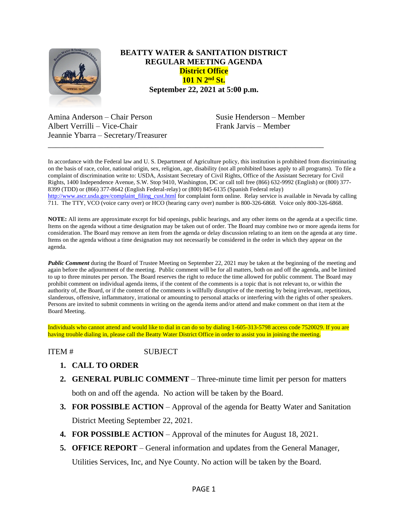

## **BEATTY WATER & SANITATION DISTRICT REGULAR MEETING AGENDA District Office 101 N 2nd St. September 22, 2021 at 5:00 p.m.**

Amina Anderson – Chair Person Susie Henderson – Member Albert Verrilli – Vice-Chair Frank Jarvis – Member Jeannie Ybarra – Secretary/Treasurer

In accordance with the Federal law and U. S. Department of Agriculture policy, this institution is prohibited from discriminating on the basis of race, color, national origin, sex, religion, age, disability (not all prohibited bases apply to all programs). To file a complaint of discrimination write to: USDA, Assistant Secretary of Civil Rights, Office of the Assistant Secretary for Civil Rights, 1400 Independence Avenue, S.W. Stop 9410, Washington, DC or call toll free (866) 632-9992 (English) or (800) 377- 8399 (TDD) or (866) 377-8642 (English Federal-relay) or (800) 845-6135 (Spanish Federal relay) [http://www.ascr.usda.gov/complaint\\_filing\\_cust.html](http://www.ascr.usda.gov/complaint_filing_cust.html) for complaint form online. Relay service is available in Nevada by calling 711. The TTY, VCO (voice carry over) or HCO (hearing carry over) number is 800-326-6868. Voice only 800-326-6868.

\_\_\_\_\_\_\_\_\_\_\_\_\_\_\_\_\_\_\_\_\_\_\_\_\_\_\_\_\_\_\_\_\_\_\_\_\_\_\_\_\_\_\_\_\_\_\_\_\_\_\_\_\_\_\_\_\_\_\_\_\_\_\_\_\_\_\_\_\_

**NOTE:** All items are approximate except for bid openings, public hearings, and any other items on the agenda at a specific time. Items on the agenda without a time designation may be taken out of order. The Board may combine two or more agenda items for consideration. The Board may remove an item from the agenda or delay discussion relating to an item on the agenda at any time. Items on the agenda without a time designation may not necessarily be considered in the order in which they appear on the agenda.

*Public Comment* during the Board of Trustee Meeting on September 22, 2021 may be taken at the beginning of the meeting and again before the adjournment of the meeting. Public comment will be for all matters, both on and off the agenda, and be limited to up to three minutes per person. The Board reserves the right to reduce the time allowed for public comment. The Board may prohibit comment on individual agenda items, if the content of the comments is a topic that is not relevant to, or within the authority of, the Board, or if the content of the comments is willfully disruptive of the meeting by being irrelevant, repetitious, slanderous, offensive, inflammatory, irrational or amounting to personal attacks or interfering with the rights of other speakers. Persons are invited to submit comments in writing on the agenda items and/or attend and make comment on that item at the Board Meeting.

Individuals who cannot attend and would like to dial in can do so by dialing 1-605-313-5798 access code 7520029. If you are having trouble dialing in, please call the Beatty Water District Office in order to assist you in joining the meeting.

## ITEM # SUBJECT

- **1. CALL TO ORDER**
- **2. GENERAL PUBLIC COMMENT** Three-minute time limit per person for matters both on and off the agenda. No action will be taken by the Board.

**3. FOR POSSIBLE ACTION** – Approval of the agenda for Beatty Water and Sanitation

District Meeting September 22, 2021.

- **4. FOR POSSIBLE ACTION**  Approval of the minutes for August 18, 2021.
- **5. OFFICE REPORT**  General information and updates from the General Manager, Utilities Services, Inc, and Nye County. No action will be taken by the Board.